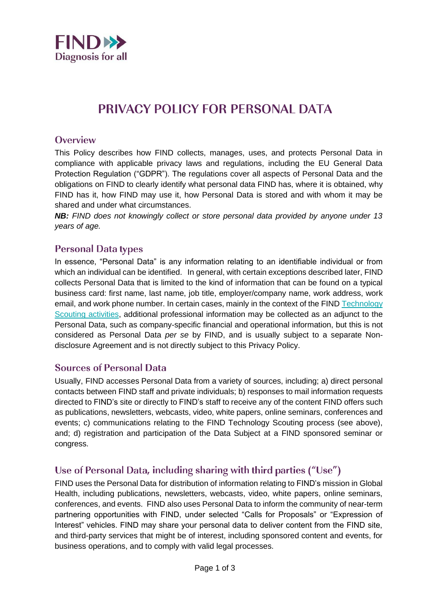

# **PRIVACY POLICY FOR PERSONAL DATA**

#### Overview

This Policy describes how FIND collects, manages, uses, and protects Personal Data in compliance with applicable privacy laws and regulations, including the EU General Data Protection Regulation ("GDPR"). The regulations cover all aspects of Personal Data and the obligations on FIND to clearly identify what personal data FIND has, where it is obtained, why FIND has it, how FIND may use it, how Personal Data is stored and with whom it may be shared and under what circumstances.

*NB: FIND does not knowingly collect or store personal data provided by anyone under 13 years of age.*

### **Personal Data types**

In essence, "Personal Data" is any information relating to an identifiable individual or from which an individual can be identified. In general, with certain exceptions described later, FIND collects Personal Data that is limited to the kind of information that can be found on a typical business card: first name, last name, job title, employer/company name, work address, work email, and work phone number. In certain cases, mainly in the context of the FIND [Technology](https://www.finddx.org/technology-review/)  [Scouting activities,](https://www.finddx.org/technology-review/) additional professional information may be collected as an adjunct to the Personal Data, such as company-specific financial and operational information, but this is not considered as Personal Data *per se* by FIND, and is usually subject to a separate Nondisclosure Agreement and is not directly subject to this Privacy Policy.

#### **Sources of Personal Data**

Usually, FIND accesses Personal Data from a variety of sources, including; a) direct personal contacts between FIND staff and private individuals; b) responses to mail information requests directed to FIND's site or directly to FIND's staff to receive any of the content FIND offers such as publications, newsletters, webcasts, video, white papers, online seminars, conferences and events; c) communications relating to the FIND Technology Scouting process (see above), and; d) registration and participation of the Data Subject at a FIND sponsored seminar or congress.

## Use of Personal Data, including sharing with third parties ("Use")

FIND uses the Personal Data for distribution of information relating to FIND's mission in Global Health, including publications, newsletters, webcasts, video, white papers, online seminars, conferences, and events. FIND also uses Personal Data to inform the community of near-term partnering opportunities with FIND, under selected "Calls for Proposals" or "Expression of Interest" vehicles. FIND may share your personal data to deliver content from the FIND site, and third-party services that might be of interest, including sponsored content and events, for business operations, and to comply with valid legal processes.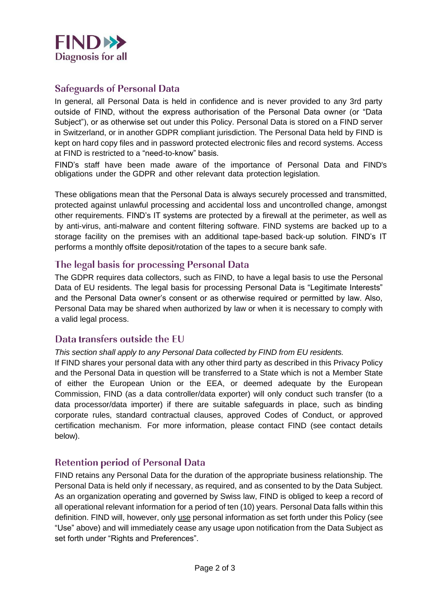

## **Safeguards of Personal Data**

In general, all Personal Data is held in confidence and is never provided to any 3rd party outside of FIND, without the express authorisation of the Personal Data owner (or "Data Subject"), or as otherwise set out under this Policy. Personal Data is stored on a FIND server in Switzerland, or in another GDPR compliant jurisdiction. The Personal Data held by FIND is kept on hard copy files and in password protected electronic files and record systems. Access at FIND is restricted to a "need-to-know" basis.

FIND's staff have been made aware of the importance of Personal Data and FIND's obligations under the GDPR and other relevant data protection legislation.

These obligations mean that the Personal Data is always securely processed and transmitted, protected against unlawful processing and accidental loss and uncontrolled change, amongst other requirements. FIND's IT systems are protected by a firewall at the perimeter, as well as by anti-virus, anti-malware and content filtering software. FIND systems are backed up to a storage facility on the premises with an additional tape-based back-up solution. FIND's IT performs a monthly offsite deposit/rotation of the tapes to a secure bank safe.

#### The legal basis for processing Personal Data

The GDPR requires data collectors, such as FIND, to have a legal basis to use the Personal Data of EU residents. The legal basis for processing Personal Data is "Legitimate Interests" and the Personal Data owner's consent or as otherwise required or permitted by law. Also, Personal Data may be shared when authorized by law or when it is necessary to comply with a valid legal process.

#### Data transfers outside the EU

#### *This section shall apply to any Personal Data collected by FIND from EU residents.*

If FIND shares your personal data with any other third party as described in this Privacy Policy and the Personal Data in question will be transferred to a State which is not a Member State of either the European Union or the EEA, or deemed adequate by the European Commission, FIND (as a data controller/data exporter) will only conduct such transfer (to a data processor/data importer) if there are suitable safeguards in place, such as binding corporate rules, standard contractual clauses, approved Codes of Conduct, or approved certification mechanism. For more information, please contact FIND (see contact details below).

## **Retention period of Personal Data**

FIND retains any Personal Data for the duration of the appropriate business relationship. The Personal Data is held only if necessary, as required, and as consented to by the Data Subject. As an organization operating and governed by Swiss law, FIND is obliged to keep a record of all operational relevant information for a period of ten (10) years. Personal Data falls within this definition. FIND will, however, only use personal information as set forth under this Policy (see "Use" above) and will immediately cease any usage upon notification from the Data Subject as set forth under "Rights and Preferences".